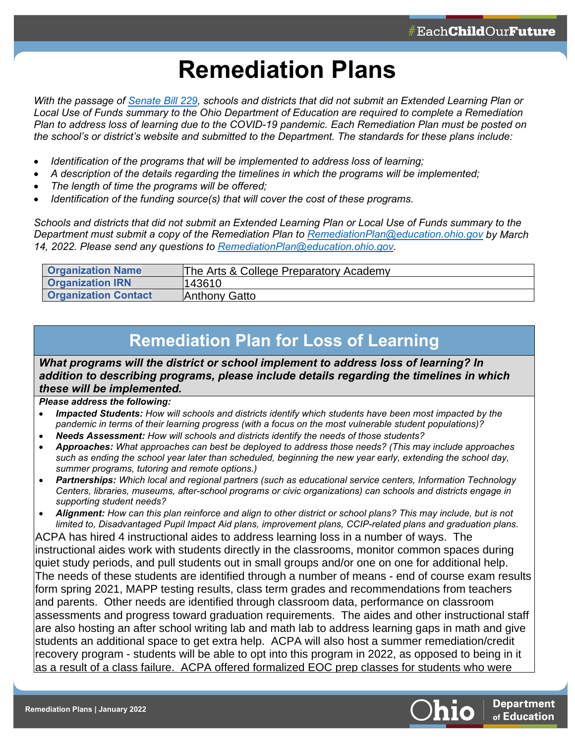## **Remediation Plans**

*With the passage of [Senate Bill 229,](https://search-prod.lis.state.oh.us/solarapi/v1/general_assembly_134/bills/sb229/EN/05/sb229_05_EN?format=pdf) schools and districts that did not submit an Extended Learning Plan or Local Use of Funds summary to the Ohio Department of Education are required to complete a Remediation Plan to address loss of learning due to the COVID-19 pandemic. Each Remediation Plan must be posted on the school's or district's website and submitted to the Department. The standards for these plans include:*

- *Identification of the programs that will be implemented to address loss of learning;*
- *A description of the details regarding the timelines in which the programs will be implemented;*
- *The length of time the programs will be offered;*
- *Identification of the funding source(s) that will cover the cost of these programs.*

*Schools and districts that did not submit an Extended Learning Plan or Local Use of Funds summary to the Department must submit a copy of the Remediation Plan to [RemediationPlan@education.ohio.gov](mailto:RemediationPlan@education.ohio.gov) by March 14, 2022. Please send any questions to [RemediationPlan@education.ohio.gov.](mailto:RemediationPlan@education.ohio.gov)* 

| <b>Organization Name</b>    | The Arts & College Preparatory Academy |
|-----------------------------|----------------------------------------|
| <b>Organization IRN</b>     | 143610                                 |
| <b>Organization Contact</b> | ¶Anthony Gatto                         |

## **Remediation Plan for Loss of Learning**

*What programs will the district or school implement to address loss of learning? In addition to describing programs, please include details regarding the timelines in which these will be implemented.*

*Please address the following:*

- *Impacted Students: How will schools and districts identify which students have been most impacted by the pandemic in terms of their learning progress (with a focus on the most vulnerable student populations)?*
- *Needs Assessment: How will schools and districts identify the needs of those students?*
- *Approaches: What approaches can best be deployed to address those needs? (This may include approaches such as ending the school year later than scheduled, beginning the new year early, extending the school day, summer programs, tutoring and remote options.)*
- *Partnerships: Which local and regional partners (such as educational service centers, Information Technology Centers, libraries, museums, after-school programs or civic organizations) can schools and districts engage in supporting student needs?*
- *Alignment: How can this plan reinforce and align to other district or school plans? This may include, but is not limited to, Disadvantaged Pupil Impact Aid plans, improvement plans, CCIP-related plans and graduation plans.*

ACPA has hired 4 instructional aides to address learning loss in a number of ways. The instructional aides work with students directly in the classrooms, monitor common spaces during quiet study periods, and pull students out in small groups and/or one on one for additional help. The needs of these students are identified through a number of means - end of course exam results form spring 2021, MAPP testing results, class term grades and recommendations from teachers and parents. Other needs are identified through classroom data, performance on classroom assessments and progress toward graduation requirements. The aides and other instructional staff are also hosting an after school writing lab and math lab to address learning gaps in math and give students an additional space to get extra help. ACPA will also host a summer remediation/credit recovery program - students will be able to opt into this program in 2022, as opposed to being in it as a result of a class failure. ACPA offered formalized EOC prep classes for students who were



ccip and to individual student graduation plans.